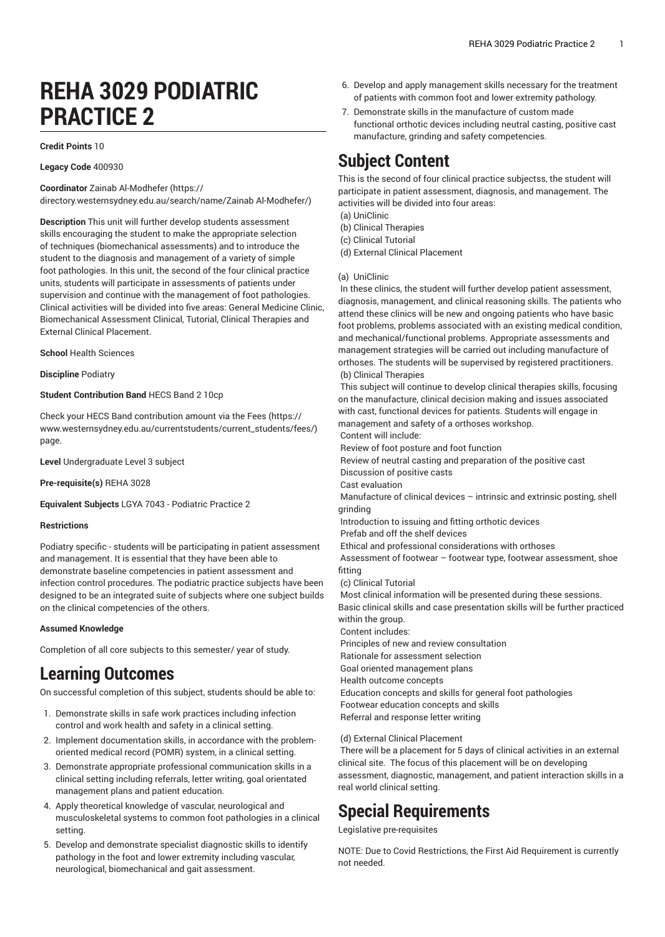# **REHA 3029 PODIATRIC PRACTICE 2**

#### **Credit Points** 10

**Legacy Code** 400930

**Coordinator** Zainab [Al-Modhefer](https://directory.westernsydney.edu.au/search/name/Zainab Al-Modhefer/) ([https://](https://directory.westernsydney.edu.au/search/name/Zainab Al-Modhefer/)

[directory.westernsydney.edu.au/search/name/Zainab](https://directory.westernsydney.edu.au/search/name/Zainab Al-Modhefer/) Al-Modhefer/)

**Description** This unit will further develop students assessment skills encouraging the student to make the appropriate selection of techniques (biomechanical assessments) and to introduce the student to the diagnosis and management of a variety of simple foot pathologies. In this unit, the second of the four clinical practice units, students will participate in assessments of patients under supervision and continue with the management of foot pathologies. Clinical activities will be divided into five areas: General Medicine Clinic, Biomechanical Assessment Clinical, Tutorial, Clinical Therapies and External Clinical Placement.

**School** Health Sciences

**Discipline** Podiatry

#### **Student Contribution Band** HECS Band 2 10cp

Check your HECS Band contribution amount via the [Fees \(https://](https://www.westernsydney.edu.au/currentstudents/current_students/fees/) [www.westernsydney.edu.au/currentstudents/current\\_students/fees/\)](https://www.westernsydney.edu.au/currentstudents/current_students/fees/) page.

**Level** Undergraduate Level 3 subject

**Pre-requisite(s)** [REHA](/search/?P=REHA%203028) 3028

**Equivalent Subjects** LGYA 7043 - Podiatric Practice 2

### **Restrictions**

Podiatry specific - students will be participating in patient assessment and management. It is essential that they have been able to demonstrate baseline competencies in patient assessment and infection control procedures. The podiatric practice subjects have been designed to be an integrated suite of subjects where one subject builds on the clinical competencies of the others.

#### **Assumed Knowledge**

Completion of all core subjects to this semester/ year of study.

## **Learning Outcomes**

On successful completion of this subject, students should be able to:

- 1. Demonstrate skills in safe work practices including infection control and work health and safety in a clinical setting.
- 2. Implement documentation skills, in accordance with the problemoriented medical record (POMR) system, in a clinical setting.
- 3. Demonstrate appropriate professional communication skills in a clinical setting including referrals, letter writing, goal orientated management plans and patient education.
- 4. Apply theoretical knowledge of vascular, neurological and musculoskeletal systems to common foot pathologies in a clinical setting.
- 5. Develop and demonstrate specialist diagnostic skills to identify pathology in the foot and lower extremity including vascular, neurological, biomechanical and gait assessment.
- 6. Develop and apply management skills necessary for the treatment of patients with common foot and lower extremity pathology.
- 7. Demonstrate skills in the manufacture of custom made functional orthotic devices including neutral casting, positive cast manufacture, grinding and safety competencies.

# **Subject Content**

This is the second of four clinical practice subjectss, the student will participate in patient assessment, diagnosis, and management. The activities will be divided into four areas:

(a) UniClinic

(b) Clinical Therapies

(c) Clinical Tutorial

(d) External Clinical Placement

### (a) UniClinic

In these clinics, the student will further develop patient assessment, diagnosis, management, and clinical reasoning skills. The patients who attend these clinics will be new and ongoing patients who have basic foot problems, problems associated with an existing medical condition, and mechanical/functional problems. Appropriate assessments and management strategies will be carried out including manufacture of orthoses. The students will be supervised by registered practitioners. (b) Clinical Therapies

This subject will continue to develop clinical therapies skills, focusing on the manufacture, clinical decision making and issues associated with cast, functional devices for patients. Students will engage in management and safety of a orthoses workshop.

Content will include:

Review of foot posture and foot function

Review of neutral casting and preparation of the positive cast

Discussion of positive casts

Cast evaluation

Manufacture of clinical devices – intrinsic and extrinsic posting, shell grinding

Introduction to issuing and fitting orthotic devices

Prefab and off the shelf devices

Ethical and professional considerations with orthoses

 Assessment of footwear – footwear type, footwear assessment, shoe fitting

(c) Clinical Tutorial

Most clinical information will be presented during these sessions. Basic clinical skills and case presentation skills will be further practiced

within the group. Content includes:

Principles of new and review consultation

Rationale for assessment selection

Goal oriented management plans

Health outcome concepts

Education concepts and skills for general foot pathologies Footwear education concepts and skills

Referral and response letter writing

(d) External Clinical Placement

There will be a placement for 5 days of clinical activities in an external clinical site. The focus of this placement will be on developing assessment, diagnostic, management, and patient interaction skills in a real world clinical setting.

# **Special Requirements**

Legislative pre-requisites

NOTE: Due to Covid Restrictions, the First Aid Requirement is currently not needed.